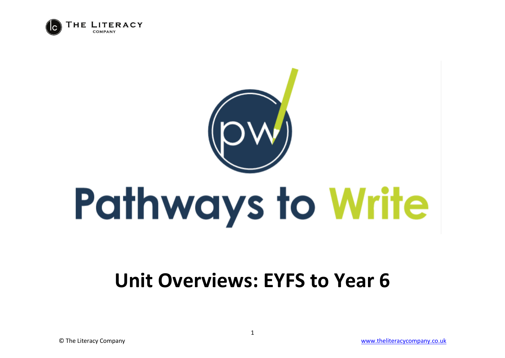

## **Pathways to Write**

## **Unit Overviews: EYFS to Year 6**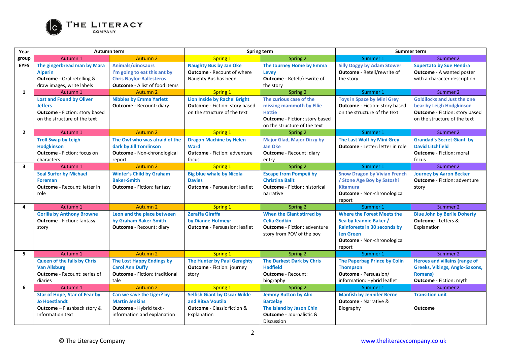

| Year                    | <b>Autumn term</b>                                                                                                         |                                                                                                                               | Spring term                                                                                                   |                                                                                                                                               | <b>Summer term</b>                                                                                                                                              |                                                                                                                                         |
|-------------------------|----------------------------------------------------------------------------------------------------------------------------|-------------------------------------------------------------------------------------------------------------------------------|---------------------------------------------------------------------------------------------------------------|-----------------------------------------------------------------------------------------------------------------------------------------------|-----------------------------------------------------------------------------------------------------------------------------------------------------------------|-----------------------------------------------------------------------------------------------------------------------------------------|
| group                   | Autumn 1                                                                                                                   | <b>Autumn 2</b>                                                                                                               | Spring 1                                                                                                      | Spring 2                                                                                                                                      | Summer 1                                                                                                                                                        | Summer 2                                                                                                                                |
| <b>EYFS</b>             | The gingerbread man by Mara<br><b>Alperin</b><br>Outcome - Oral retelling &<br>draw images, write labels                   | Animals/dinosaurs<br>I'm going to eat this ant by<br><b>Chris Naylor-Ballesteros</b><br><b>Outcome</b> - A list of food items | <b>Naughty Bus by Jan Oke</b><br><b>Outcome</b> - Recount of where<br>Naughty Bus has been                    | The Journey Home by Emma<br><b>Levey</b><br><b>Outcome</b> - Retell/rewrite of<br>the story                                                   | <b>Silly Doggy by Adam Stower</b><br>Outcome - Retell/rewrite of<br>the story                                                                                   | <b>Supertato by Sue Hendra</b><br><b>Outcome</b> - A wanted poster<br>with a character description                                      |
| $\mathbf{1}$            | Autumn 1                                                                                                                   | <b>Autumn 2</b>                                                                                                               | Spring 1                                                                                                      | Spring 2                                                                                                                                      | Summer 1                                                                                                                                                        | Summer 2                                                                                                                                |
|                         | <b>Lost and Found by Oliver</b><br><b>Jeffers</b><br><b>Outcome</b> - Fiction: story based<br>on the structure of the text | <b>Nibbles by Emma Yarlett</b><br><b>Outcome</b> - Recount: diary                                                             | <b>Lion Inside by Rachel Bright</b><br><b>Outcome</b> - Fiction: story based<br>on the structure of the text  | The curious case of the<br>missing mammoth by Ellie<br><b>Hattie</b><br><b>Outcome</b> - Fiction: story based<br>on the structure of the text | <b>Toys in Space by Mini Grey</b><br><b>Outcome</b> - Fiction: story based<br>on the structure of the text                                                      | <b>Goldilocks and Just the one</b><br>bear by Leigh Hodgkinson<br><b>Outcome</b> - Fiction: story based<br>on the structure of the text |
| $\overline{2}$          | Autumn 1                                                                                                                   | <b>Autumn 2</b>                                                                                                               | Spring 1                                                                                                      | Spring 2                                                                                                                                      | Summer 1                                                                                                                                                        | Summer 2                                                                                                                                |
|                         | <b>Troll Swap by Leigh</b><br><b>Hodgkinson</b><br><b>Outcome</b> - Fiction: focus on<br>characters                        | The Owl who was afraid of the<br>dark by Jill Tomlinson<br>Outcome - Non-chronological<br>report                              | <b>Dragon Machine by Helen</b><br><b>Ward</b><br><b>Outcome</b> - Fiction: adventure<br>focus                 | <b>Major Glad, Major Dizzy by</b><br><b>Jan Oke</b><br><b>Outcome</b> - Recount: diary<br>entry                                               | The Last Wolf by Mini Grey<br>Outcome - Letter: letter in role                                                                                                  | <b>Grandad's Secret Giant by</b><br><b>David Litchfield</b><br><b>Outcome</b> - Fiction: moral<br>focus                                 |
| $\overline{\mathbf{3}}$ | Autumn 1                                                                                                                   | <b>Autumn 2</b>                                                                                                               | Spring 1                                                                                                      | Spring 2                                                                                                                                      | Summer 1                                                                                                                                                        | Summer 2                                                                                                                                |
|                         | <b>Seal Surfer by Michael</b><br><b>Foreman</b><br><b>Outcome</b> - Recount: letter in<br>role                             | <b>Winter's Child by Graham</b><br><b>Baker-Smith</b><br><b>Outcome</b> - Fiction: fantasy                                    | <b>Big blue whale by Nicola</b><br><b>Davies</b><br><b>Outcome</b> - Persuasion: leaflet                      | <b>Escape from Pompeii by</b><br><b>Christina Balit</b><br><b>Outcome</b> - Fiction: historical<br>narrative                                  | <b>Snow Dragon by Vivian French</b><br>/ Stone Age Boy by Satoshi<br><b>Kitamura</b><br>Outcome - Non-chronological<br>report                                   | <b>Journey by Aaron Becker</b><br><b>Outcome</b> - Fiction: adventure<br>story                                                          |
| 4                       | Autumn 1                                                                                                                   | <b>Autumn 2</b>                                                                                                               | Spring 1                                                                                                      | Spring 2                                                                                                                                      | Summer 1                                                                                                                                                        | Summer 2                                                                                                                                |
|                         | <b>Gorilla by Anthony Browne</b><br><b>Outcome</b> - Fiction: fantasy<br>story                                             | Leon and the place between<br>by Graham Baker-Smith<br><b>Outcome</b> - Recount: diary                                        | <b>Zeraffa Giraffa</b><br>by Dianne Hofmeyr<br><b>Outcome</b> - Persuasion: leaflet                           | <b>When the Giant stirred by</b><br><b>Celia Godkin</b><br><b>Outcome</b> - Fiction: adventure<br>story from POV of the boy                   | <b>Where the Forest Meets the</b><br>Sea by Jeannie Baker /<br><b>Rainforests in 30 seconds by</b><br><b>Jen Green</b><br>Outcome - Non-chronological<br>report | <b>Blue John by Berlie Doherty</b><br><b>Outcome</b> - Letters &<br>Explanation                                                         |
| 5                       | Autumn 1                                                                                                                   | Autumn <sub>2</sub>                                                                                                           | Spring 1                                                                                                      | Spring 2                                                                                                                                      | Summer 1                                                                                                                                                        | Summer 2                                                                                                                                |
|                         | <b>Queen of the falls by Chris</b><br><b>Van Allsburg</b><br><b>Outcome</b> - Recount: series of<br>diaries                | The Lost Happy Endings by<br><b>Carol Ann Duffy</b><br><b>Outcome</b> - Fiction: traditional<br>tale                          | The Hunter by Paul Geraghty<br><b>Outcome</b> - Fiction: journey<br>story                                     | The Darkest Dark by Chris<br><b>Hadfield</b><br><b>Outcome</b> - Recount:<br>biography                                                        | <b>The Paperbag Prince by Colin</b><br><b>Thompson</b><br><b>Outcome</b> - Persuasion/<br>information: Hybrid leaflet                                           | <b>Heroes and villains (range of</b><br><b>Greeks, Vikings, Anglo-Saxons,</b><br><b>Romans</b> )<br><b>Outcome</b> - Fiction: myth      |
| 6                       | Autumn 1                                                                                                                   | <b>Autumn 2</b>                                                                                                               | <b>Spring 1</b>                                                                                               | Spring 2                                                                                                                                      | Summer 1                                                                                                                                                        | Summer 2                                                                                                                                |
|                         | <b>Star of Hope, Star of Fear by</b><br><b>Jo Hoestlandt</b><br>Outcome - Flashback story &<br>Information text            | Can we save the tiger? by<br><b>Martin Jenkins</b><br><b>Outcome</b> - Hybrid text -<br>information and explanation           | <b>Selfish Giant by Oscar Wilde</b><br>and Ritva Voutila<br><b>Outcome</b> - Classic fiction &<br>Explanation | <b>Jemmy Button by Alix</b><br><b>Barzelay</b><br>The Island by Jason Chin<br><b>Outcome</b> - Journalistic &<br>Discussion                   | <b>Manfish by Jennifer Berne</b><br><b>Outcome</b> - Narrative &<br>Biography                                                                                   | <b>Transition unit</b><br>Outcome                                                                                                       |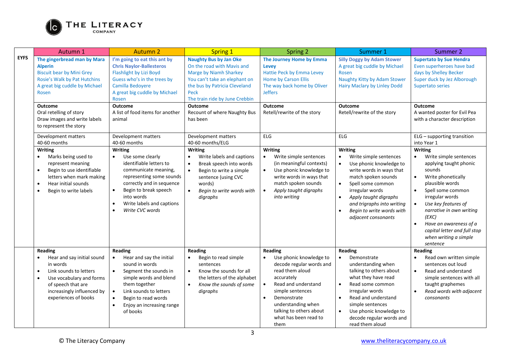

|             | Autumn 1                                                                                                                                                                         | <b>Autumn 2</b>                                                                                                                                                                                                                                    | <b>Spring 1</b>                                                                                                                                                                                       | <b>Spring 2</b>                                                                                                                                                                                                                               | Summer 1                                                                                                                                                                                                                                                                                                                      | Summer 2                                                                                                                                                                                                                                                                                                                                            |
|-------------|----------------------------------------------------------------------------------------------------------------------------------------------------------------------------------|----------------------------------------------------------------------------------------------------------------------------------------------------------------------------------------------------------------------------------------------------|-------------------------------------------------------------------------------------------------------------------------------------------------------------------------------------------------------|-----------------------------------------------------------------------------------------------------------------------------------------------------------------------------------------------------------------------------------------------|-------------------------------------------------------------------------------------------------------------------------------------------------------------------------------------------------------------------------------------------------------------------------------------------------------------------------------|-----------------------------------------------------------------------------------------------------------------------------------------------------------------------------------------------------------------------------------------------------------------------------------------------------------------------------------------------------|
| <b>EYFS</b> | The gingerbread man by Mara<br><b>Alperin</b><br><b>Biscuit bear by Mini Grey</b><br>Rosie's Walk by Pat Hutchins<br>A great big cuddle by Michael<br>Rosen                      | I'm going to eat this ant by<br><b>Chris Naylor-Ballesteros</b><br>Flashlight by Lizi Boyd<br>Guess who's in the trees by<br>Camilla Bedovere<br>A great big cuddle by Michael<br>Rosen                                                            | <b>Naughty Bus by Jan Oke</b><br>On the road with Mavis and<br>Marge by Niamh Sharkey<br>You can't take an elephant on<br>the bus by Patricia Cleveland<br>Peck<br>The train ride by June Crebbin     | The Journey Home by Emma<br>Levey<br>Hattie Peck by Emma Levey<br><b>Home by Carson Ellis</b><br>The way back home by Oliver<br><b>Jeffers</b>                                                                                                | <b>Silly Doggy by Adam Stower</b><br>A great big cuddle by Michael<br>Rosen<br>Naughty Kitty by Adam Stower<br><b>Hairy Maclary by Linley Dodd</b>                                                                                                                                                                            | <b>Supertato by Sue Hendra</b><br>Even superheroes have bad<br>days by Shelley Becker<br>Super duck by Jez Alborough<br>Supertato series                                                                                                                                                                                                            |
|             | <b>Outcome</b>                                                                                                                                                                   | <b>Outcome</b>                                                                                                                                                                                                                                     | <b>Outcome</b>                                                                                                                                                                                        | <b>Outcome</b>                                                                                                                                                                                                                                | <b>Outcome</b>                                                                                                                                                                                                                                                                                                                | <b>Outcome</b>                                                                                                                                                                                                                                                                                                                                      |
|             | Oral retelling of story<br>Draw images and write labels<br>to represent the story                                                                                                | A list of food items for another<br>animal                                                                                                                                                                                                         | Recount of where Naughty Bus<br>has been                                                                                                                                                              | Retell/rewrite of the story                                                                                                                                                                                                                   | Retell/rewrite of the story                                                                                                                                                                                                                                                                                                   | A wanted poster for Evil Pea<br>with a character description                                                                                                                                                                                                                                                                                        |
|             | Development matters<br>40-60 months                                                                                                                                              | Development matters<br>40-60 months                                                                                                                                                                                                                | Development matters<br>40-60 months/ELG                                                                                                                                                               | ELG                                                                                                                                                                                                                                           | ELG                                                                                                                                                                                                                                                                                                                           | ELG - supporting transition<br>into Year 1                                                                                                                                                                                                                                                                                                          |
|             | <b>Writing</b><br>Marks being used to<br>$\bullet$<br>represent meaning<br>Begin to use identifiable<br>letters when mark making<br>Hear initial sounds<br>Begin to write labels | <b>Writing</b><br>Use some clearly<br>$\bullet$<br>identifiable letters to<br>communicate meaning,<br>representing some sounds<br>correctly and in sequence<br>Begin to break speech<br>into words<br>Write labels and captions<br>Write CVC words | <b>Writing</b><br>Write labels and captions<br>$\bullet$<br>Break speech into words<br>$\bullet$<br>Begin to write a simple<br>sentence (using CVC<br>words)<br>Begin to write words with<br>digraphs | Writing<br>Write simple sentences<br>$\bullet$<br>(in meaningful contexts)<br>Use phonic knowledge to<br>$\bullet$<br>write words in ways that<br>match spoken sounds<br>Apply taught digraphs<br>$\bullet$<br>into writing                   | <b>Writing</b><br>Write simple sentences<br>$\bullet$<br>Use phonic knowledge to<br>$\bullet$<br>write words in ways that<br>match spoken sounds<br>Spell some common<br>$\bullet$<br>irregular words<br>Apply taught digraphs<br>$\bullet$<br>and trigraphs into writing<br>Begin to write words with<br>adjacent consonants | <b>Writing</b><br>Write simple sentences<br>$\bullet$<br>applying taught phonic<br>sounds<br>Write phonetically<br>$\bullet$<br>plausible words<br>Spell some common<br>$\bullet$<br>irregular words<br>Use key features of<br>narrative in own writing<br>(EXC)<br>Have an awareness of a<br>capital letter and full stop<br>when writing a simple |
|             | Reading                                                                                                                                                                          | Reading                                                                                                                                                                                                                                            | Reading                                                                                                                                                                                               | Reading                                                                                                                                                                                                                                       | Reading                                                                                                                                                                                                                                                                                                                       | sentence<br>Reading                                                                                                                                                                                                                                                                                                                                 |
|             | Hear and say initial sound<br>in words<br>Link sounds to letters<br>Use vocabulary and forms<br>of speech that are<br>increasingly influenced by<br>experiences of books         | Hear and say the initial<br>sound in words<br>Segment the sounds in<br>simple words and blend<br>them together<br>Link sounds to letters<br>Begin to read words<br>Enjoy an increasing range<br>of books                                           | Begin to read simple<br>sentences<br>Know the sounds for all<br>$\bullet$<br>the letters of the alphabet<br>Know the sounds of some<br>$\bullet$<br>digraphs                                          | Use phonic knowledge to<br>decode regular words and<br>read them aloud<br>accurately<br>Read and understand<br>simple sentences<br>Demonstrate<br>$\bullet$<br>understanding when<br>talking to others about<br>what has been read to<br>them | Demonstrate<br>$\bullet$<br>understanding when<br>talking to others about<br>what they have read<br>Read some common<br>$\bullet$<br>irregular words<br>Read and understand<br>$\bullet$<br>simple sentences<br>Use phonic knowledge to<br>$\bullet$<br>decode regular words and<br>read them aloud                           | Read own written simple<br>sentences out loud<br>Read and understand<br>$\bullet$<br>simple sentences with all<br>taught graphemes<br>Read words with adjacent<br>consonants                                                                                                                                                                        |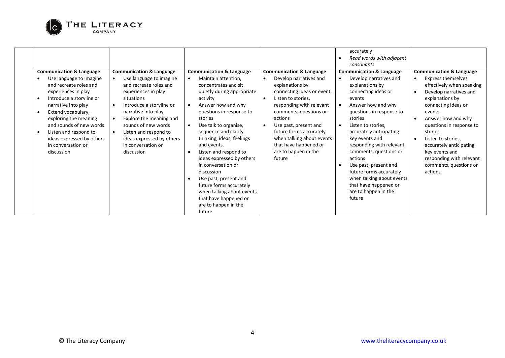

|                                                                                                                                                                                                                                                                                                                                        |                                                                                                                                                                                                                                                                                                                                                        |                                                                                                                                                                                                                                                                                                                                                                                                                                                                                                                              |                                                                                                                                                                                                                                                                                                                                                                | accurately<br>Read words with adjacent<br>consonants                                                                                                                                                                                                                                                                                                                                                                                                                        |                                                                                                                                                                                                                                                                                                                                                                                                                                  |
|----------------------------------------------------------------------------------------------------------------------------------------------------------------------------------------------------------------------------------------------------------------------------------------------------------------------------------------|--------------------------------------------------------------------------------------------------------------------------------------------------------------------------------------------------------------------------------------------------------------------------------------------------------------------------------------------------------|------------------------------------------------------------------------------------------------------------------------------------------------------------------------------------------------------------------------------------------------------------------------------------------------------------------------------------------------------------------------------------------------------------------------------------------------------------------------------------------------------------------------------|----------------------------------------------------------------------------------------------------------------------------------------------------------------------------------------------------------------------------------------------------------------------------------------------------------------------------------------------------------------|-----------------------------------------------------------------------------------------------------------------------------------------------------------------------------------------------------------------------------------------------------------------------------------------------------------------------------------------------------------------------------------------------------------------------------------------------------------------------------|----------------------------------------------------------------------------------------------------------------------------------------------------------------------------------------------------------------------------------------------------------------------------------------------------------------------------------------------------------------------------------------------------------------------------------|
| <b>Communication &amp; Language</b><br>Use language to imagine<br>and recreate roles and<br>experiences in play<br>Introduce a storyline or<br>narrative into play<br>Extend vocabulary,<br>exploring the meaning<br>and sounds of new words<br>Listen and respond to<br>ideas expressed by others<br>in conversation or<br>discussion | <b>Communication &amp; Language</b><br>Use language to imagine<br>and recreate roles and<br>experiences in play<br>situations<br>Introduce a storyline or<br>$\bullet$<br>narrative into play<br>Explore the meaning and<br>$\bullet$<br>sounds of new words<br>Listen and respond to<br>ideas expressed by others<br>in conversation or<br>discussion | <b>Communication &amp; Language</b><br>Maintain attention,<br>concentrates and sit<br>quietly during appropriate<br>activity<br>Answer how and why<br>questions in response to<br>stories<br>Use talk to organise,<br>sequence and clarify<br>thinking, ideas, feelings<br>and events.<br>Listen and respond to<br>ideas expressed by others<br>in conversation or<br>discussion<br>Use past, present and<br>future forms accurately<br>when talking about events<br>that have happened or<br>are to happen in the<br>future | <b>Communication &amp; Language</b><br>Develop narratives and<br>explanations by<br>connecting ideas or event.<br>Listen to stories.<br>$\bullet$<br>responding with relevant<br>comments, questions or<br>actions<br>Use past, present and<br>future forms accurately<br>when talking about events<br>that have happened or<br>are to happen in the<br>future | <b>Communication &amp; Language</b><br>Develop narratives and<br>$\bullet$<br>explanations by<br>connecting ideas or<br>events<br>Answer how and why<br>questions in response to<br>stories<br>Listen to stories,<br>accurately anticipating<br>key events and<br>responding with relevant<br>comments, questions or<br>actions<br>Use past, present and<br>future forms accurately<br>when talking about events<br>that have happened or<br>are to happen in the<br>future | <b>Communication &amp; Language</b><br><b>Express themselves</b><br>$\bullet$<br>effectively when speaking<br>Develop narratives and<br>$\bullet$<br>explanations by<br>connecting ideas or<br>events<br>Answer how and why<br>$\bullet$<br>questions in response to<br>stories<br>Listen to stories,<br>$\bullet$<br>accurately anticipating<br>key events and<br>responding with relevant<br>comments, questions or<br>actions |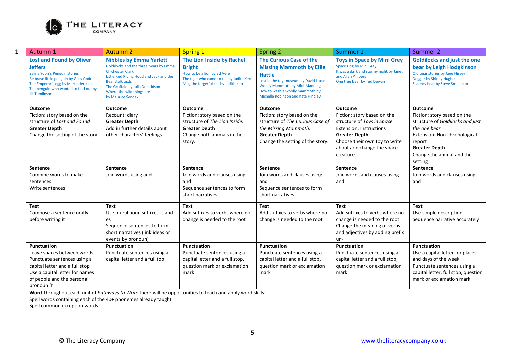

| 1 | Autumn 1                                                                                                                                                                                                                                | <b>Autumn 2</b>                                                                                                                                                                                                                                               | <b>Spring 1</b>                                                                                                                                               | <b>Spring 2</b>                                                                                                                                                                                                                        | Summer 1                                                                                                                                                                                                           | Summer 2                                                                                                                                                                                                     |
|---|-----------------------------------------------------------------------------------------------------------------------------------------------------------------------------------------------------------------------------------------|---------------------------------------------------------------------------------------------------------------------------------------------------------------------------------------------------------------------------------------------------------------|---------------------------------------------------------------------------------------------------------------------------------------------------------------|----------------------------------------------------------------------------------------------------------------------------------------------------------------------------------------------------------------------------------------|--------------------------------------------------------------------------------------------------------------------------------------------------------------------------------------------------------------------|--------------------------------------------------------------------------------------------------------------------------------------------------------------------------------------------------------------|
|   | <b>Lost and Found by Oliver</b><br><b>Jeffers</b><br>Salina Yoon's Penguin stories<br>Be brave little penguin by Giles Andreae<br>The Emperor's egg by Martin Jenkins<br>The penguin who wanted to find out by<br><b>Jill Tomlinson</b> | <b>Nibbles by Emma Yarlett</b><br>Goldilocks and the three bears by Emma<br><b>Chichester Clark</b><br>Little Red Riding Hood and Jack and the<br><b>Beanstalk texts</b><br>The Gruffalo by Julia Donaldson<br>Where the wild things are<br>by Maurice Sendak | The Lion Inside by Rachel<br><b>Bright</b><br>How to be a lion by Ed Vere<br>The tiger who came to tea by Judith Kerr<br>Mog the forgetful cat by Judith Kerr | The Curious Case of the<br><b>Missing Mammoth by Ellie</b><br><b>Hattie</b><br>Lost in the toy museum by David Lucas<br><b>Woolly Mammoth by Mick Manning</b><br>How to wash a woolly mammoth by<br>Michelle Robinson and Kate Hindley | <b>Toys in Space by Mini Grey</b><br>Space Dog by Mini Grey<br>It was a dark and stormy night by Janet<br>and Allan Ahlberg<br>One true bear by Ted Dewan                                                          | <b>Goldilocks and just the one</b><br>bear by Leigh Hodgkinson<br>Old bear stories by Jane Hissey<br>Dogger by Shirley Hughes<br>Scaredy bear by Steve Smallman                                              |
|   | <b>Outcome</b><br>Fiction: story based on the<br>structure of Lost and Found<br><b>Greater Depth</b><br>Change the setting of the story                                                                                                 | <b>Outcome</b><br>Recount: diary<br><b>Greater Depth</b><br>Add in further details about<br>other characters' feelings                                                                                                                                        | <b>Outcome</b><br>Fiction: story based on the<br>structure of The Lion Inside.<br><b>Greater Depth</b><br>Change both animals in the<br>story.                | Outcome<br>Fiction: story based on the<br>structure of The Curious Case of<br>the Missing Mammoth.<br><b>Greater Depth</b><br>Change the setting of the story.                                                                         | <b>Outcome</b><br>Fiction: story based on the<br>structure of Toys in Space.<br><b>Extension: Instructions</b><br><b>Greater Depth</b><br>Choose their own toy to write<br>about and change the space<br>creature. | <b>Outcome</b><br>Fiction: story based on the<br>structure of Goldilocks and just<br>the one bear.<br>Extension: Non-chronological<br>report<br><b>Greater Depth</b><br>Change the animal and the<br>setting |
|   | <b>Sentence</b><br>Combine words to make<br>sentences<br>Write sentences                                                                                                                                                                | <b>Sentence</b><br>Join words using and                                                                                                                                                                                                                       | <b>Sentence</b><br>Join words and clauses using<br>and<br>Sequence sentences to form<br>short narratives                                                      | <b>Sentence</b><br>Join words and clauses using<br>and<br>Sequence sentences to form<br>short narratives                                                                                                                               | <b>Sentence</b><br>Join words and clauses using<br>and                                                                                                                                                             | <b>Sentence</b><br>Join words and clauses using<br>and                                                                                                                                                       |
|   | Text<br>Compose a sentence orally<br>before writing it                                                                                                                                                                                  | <b>Text</b><br>Use plural noun suffixes -s and -<br>es<br>Sequence sentences to form<br>short narratives (link ideas or<br>events by pronoun)                                                                                                                 | <b>Text</b><br>Add suffixes to verbs where no<br>change is needed to the root                                                                                 | <b>Text</b><br>Add suffixes to verbs where no<br>change is needed to the root                                                                                                                                                          | <b>Text</b><br>Add suffixes to verbs where no<br>change is needed to the root<br>Change the meaning of verbs<br>and adjectives by adding prefix<br>un-                                                             | Text<br>Use simple description<br>Sequence narrative accurately                                                                                                                                              |
|   | <b>Punctuation</b><br>Leave spaces between words<br>Punctuate sentences using a<br>capital letter and a full stop<br>Use a capital letter for names<br>of people and the personal<br>pronoun 'l'                                        | Punctuation<br>Punctuate sentences using a<br>capital letter and a full top                                                                                                                                                                                   | <b>Punctuation</b><br>Punctuate sentences using a<br>capital letter and a full stop,<br>question mark or exclamation<br>mark                                  | Punctuation<br>Punctuate sentences using a<br>capital letter and a full stop,<br>question mark or exclamation<br>mark                                                                                                                  | <b>Punctuation</b><br>Punctuate sentences using a<br>capital letter and a full stop,<br>question mark or exclamation<br>mark                                                                                       | <b>Punctuation</b><br>Use a capital letter for places<br>and days of the week<br>Punctuate sentences using a<br>capital letter, full stop, question<br>mark or exclamation mark                              |
|   | Spell words containing each of the 40+ phonemes already taught<br>Spell common exception words                                                                                                                                          | Word Throughout each unit of Pathways to Write there will be opportunities to teach and apply word skills:                                                                                                                                                    |                                                                                                                                                               |                                                                                                                                                                                                                                        |                                                                                                                                                                                                                    |                                                                                                                                                                                                              |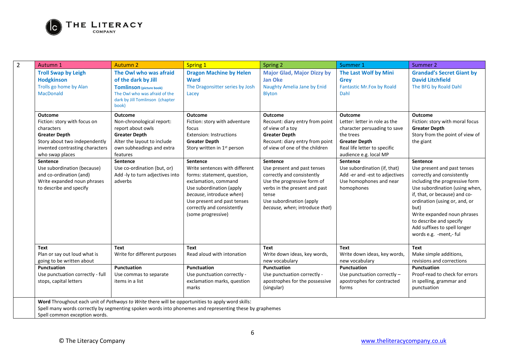

| $\overline{2}$ | Autumn 1                                                                                                                                                                                                                                                                                                    | <b>Autumn 2</b>                                                                                                                                                                                                                                    | <b>Spring 1</b>                                                                                                                                                                                                                                                                                                                                                                                               | Spring 2                                                                                                                                                                                                                                                                                                                                                                           | Summer 1                                                                                                                                                                                                                                                                                              | Summer 2                                                                                                                                                                                                                                                                                                                                                                                                                                                      |
|----------------|-------------------------------------------------------------------------------------------------------------------------------------------------------------------------------------------------------------------------------------------------------------------------------------------------------------|----------------------------------------------------------------------------------------------------------------------------------------------------------------------------------------------------------------------------------------------------|---------------------------------------------------------------------------------------------------------------------------------------------------------------------------------------------------------------------------------------------------------------------------------------------------------------------------------------------------------------------------------------------------------------|------------------------------------------------------------------------------------------------------------------------------------------------------------------------------------------------------------------------------------------------------------------------------------------------------------------------------------------------------------------------------------|-------------------------------------------------------------------------------------------------------------------------------------------------------------------------------------------------------------------------------------------------------------------------------------------------------|---------------------------------------------------------------------------------------------------------------------------------------------------------------------------------------------------------------------------------------------------------------------------------------------------------------------------------------------------------------------------------------------------------------------------------------------------------------|
|                | <b>Troll Swap by Leigh</b><br><b>Hodgkinson</b><br>Trolls go home by Alan<br><b>MacDonald</b>                                                                                                                                                                                                               | The Owl who was afraid<br>of the dark by Jill<br><b>Tomlinson</b> (picture book)<br>The Owl who was afraid of the<br>dark by Jill Tomlinson (chapter<br>book)                                                                                      | <b>Dragon Machine by Helen</b><br><b>Ward</b><br>The Dragonsitter series by Josh<br>Lacey                                                                                                                                                                                                                                                                                                                     | <b>Major Glad, Major Dizzy by</b><br><b>Jan Oke</b><br>Naughty Amelia Jane by Enid<br><b>Blyton</b>                                                                                                                                                                                                                                                                                | The Last Wolf by Mini<br><b>Grev</b><br><b>Fantastic Mr.Fox by Roald</b><br>Dahl                                                                                                                                                                                                                      | <b>Grandad's Secret Giant by</b><br><b>David Litchfield</b><br>The BFG by Roald Dahl                                                                                                                                                                                                                                                                                                                                                                          |
|                | <b>Outcome</b><br>Fiction: story with focus on<br>characters<br><b>Greater Depth</b><br>Story about two independently<br>invented contrasting characters<br>who swap places<br>Sentence<br>Use subordination (because)<br>and co-ordination (and)<br>Write expanded noun phrases<br>to describe and specify | Outcome<br>Non-chronological report:<br>report about owls<br><b>Greater Depth</b><br>Alter the layout to include<br>own subheadings and extra<br>features<br>Sentence<br>Use co-ordination (but, or)<br>Add -ly to turn adjectives into<br>adverbs | <b>Outcome</b><br>Fiction: story with adventure<br>focus<br><b>Extension: Instructions</b><br><b>Greater Depth</b><br>Story written in 1 <sup>st</sup> person<br>Sentence<br>Write sentences with different<br>forms: statement, question,<br>exclamation, command<br>Use subordination (apply<br>because, introduce when)<br>Use present and past tenses<br>correctly and consistently<br>(some progressive) | <b>Outcome</b><br>Recount: diary entry from point<br>of view of a toy<br><b>Greater Depth</b><br>Recount: diary entry from point<br>of view of one of the children<br>Sentence<br>Use present and past tenses<br>correctly and consistently<br>Use the progressive form of<br>verbs in the present and past<br>tense<br>Use subordination (apply<br>because, when; introduce that) | <b>Outcome</b><br>Letter: letter in role as the<br>character persuading to save<br>the trees<br><b>Greater Depth</b><br>Real life letter to specific<br>audience e.g. local MP<br>Sentence<br>Use subordination (if, that)<br>Add -er and -est to adjectives<br>Use homophones and near<br>homophones | Outcome<br>Fiction: story with moral focus<br><b>Greater Depth</b><br>Story from the point of view of<br>the giant<br>Sentence<br>Use present and past tenses<br>correctly and consistently<br>including the progressive form<br>Use subordination (using when,<br>if, that, or because) and co-<br>ordination (using or, and, or<br>but)<br>Write expanded noun phrases<br>to describe and specify<br>Add suffixes to spell longer<br>words e.g. -ment,- ful |
|                | Text<br>Plan or say out loud what is<br>going to be written about                                                                                                                                                                                                                                           | Text<br>Write for different purposes                                                                                                                                                                                                               | <b>Text</b><br>Read aloud with intonation                                                                                                                                                                                                                                                                                                                                                                     | Text<br>Write down ideas, key words,<br>new vocabulary                                                                                                                                                                                                                                                                                                                             | <b>Text</b><br>Write down ideas, key words,<br>new vocabulary                                                                                                                                                                                                                                         | Text<br>Make simple additions,<br>revisions and corrections                                                                                                                                                                                                                                                                                                                                                                                                   |
|                | Punctuation<br>Use punctuation correctly - full<br>stops, capital letters                                                                                                                                                                                                                                   | Punctuation<br>Use commas to separate<br>items in a list                                                                                                                                                                                           | Punctuation<br>Use punctuation correctly -<br>exclamation marks, question<br>marks                                                                                                                                                                                                                                                                                                                            | Punctuation<br>Use punctuation correctly -<br>apostrophes for the possessive<br>(singular)                                                                                                                                                                                                                                                                                         | Punctuation<br>Use punctuation correctly -<br>apostrophes for contracted<br>forms                                                                                                                                                                                                                     | Punctuation<br>Proof-read to check for errors<br>in spelling, grammar and<br>punctuation                                                                                                                                                                                                                                                                                                                                                                      |
|                | Word Throughout each unit of Pathways to Write there will be opportunities to apply word skills:<br>Spell common exception words.                                                                                                                                                                           |                                                                                                                                                                                                                                                    | Spell many words correctly by segmenting spoken words into phonemes and representing these by graphemes                                                                                                                                                                                                                                                                                                       |                                                                                                                                                                                                                                                                                                                                                                                    |                                                                                                                                                                                                                                                                                                       |                                                                                                                                                                                                                                                                                                                                                                                                                                                               |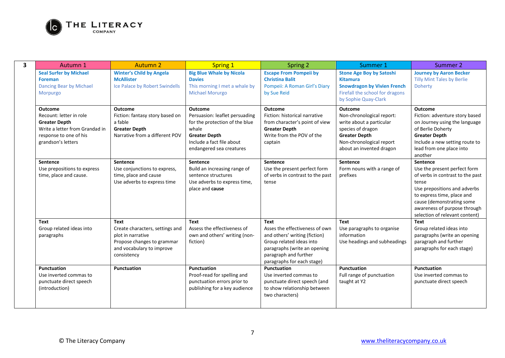

| $\overline{\mathbf{3}}$ | Autumn 1                                                                                                                                            | <b>Autumn 2</b>                                                                                                                               | <b>Spring 1</b>                                                                                                                                                              | Spring 2                                                                                                                                                                                          | Summer 1                                                                                                                                                                     | Summer 2                                                                                                                                                                                                                                           |
|-------------------------|-----------------------------------------------------------------------------------------------------------------------------------------------------|-----------------------------------------------------------------------------------------------------------------------------------------------|------------------------------------------------------------------------------------------------------------------------------------------------------------------------------|---------------------------------------------------------------------------------------------------------------------------------------------------------------------------------------------------|------------------------------------------------------------------------------------------------------------------------------------------------------------------------------|----------------------------------------------------------------------------------------------------------------------------------------------------------------------------------------------------------------------------------------------------|
|                         | <b>Seal Surfer by Michael</b><br><b>Foreman</b><br>Dancing Bear by Michael<br>Morpurgo                                                              | <b>Winter's Child by Angela</b><br><b>McAllister</b><br>Ice Palace by Robert Swindells                                                        | <b>Big Blue Whale by Nicola</b><br><b>Davies</b><br>This morning I met a whale by<br><b>Michael Morurgo</b>                                                                  | <b>Escape From Pompeii by</b><br><b>Christina Balit</b><br>Pompeii: A Roman Girl's Diary<br>by Sue Reid                                                                                           | <b>Stone Age Boy by Satoshi</b><br><b>Kitamura</b><br><b>Snowdragon by Vivien French</b><br>Firefall the school for dragons<br>by Sophie Quay-Clark                          | <b>Journey by Aaron Becker</b><br><b>Tilly Mint Tales by Berlie</b><br>Doherty                                                                                                                                                                     |
|                         | <b>Outcome</b><br>Recount: letter in role<br><b>Greater Depth</b><br>Write a letter from Grandad in<br>response to one of his<br>grandson's letters | <b>Outcome</b><br>Fiction: fantasy story based on<br>a fable<br><b>Greater Depth</b><br>Narrative from a different POV                        | <b>Outcome</b><br>Persuasion: leaflet persuading<br>for the protection of the blue<br>whale<br><b>Greater Depth</b><br>Include a fact file about<br>endangered sea creatures | <b>Outcome</b><br>Fiction: historical narrative<br>from character's point of view<br><b>Greater Depth</b><br>Write from the POV of the<br>captain                                                 | <b>Outcome</b><br>Non-chronological report:<br>write about a particular<br>species of dragon<br><b>Greater Depth</b><br>Non-chronological report<br>about an invented dragon | <b>Outcome</b><br>Fiction: adventure story based<br>on Journey using the language<br>of Berlie Doherty<br><b>Greater Depth</b><br>Include a new setting route to<br>lead from one place into<br>another                                            |
|                         | <b>Sentence</b><br>Use prepositions to express<br>time, place and cause.                                                                            | <b>Sentence</b><br>Use conjunctions to express,<br>time, place and cause<br>Use adverbs to express time                                       | Sentence<br>Build an increasing range of<br>sentence structures<br>Use adverbs to express time,<br>place and cause                                                           | Sentence<br>Use the present perfect form<br>of verbs in contrast to the past<br>tense                                                                                                             | Sentence<br>Form nouns with a range of<br>prefixes                                                                                                                           | Sentence<br>Use the present perfect form<br>of verbs in contrast to the past<br>tense<br>Use prepositions and adverbs<br>to express time, place and<br>cause (demonstrating some<br>awareness of purpose through<br>selection of relevant content) |
|                         | <b>Text</b><br>Group related ideas into<br>paragraphs                                                                                               | <b>Text</b><br>Create characters, settings and<br>plot in narrative<br>Propose changes to grammar<br>and vocabulary to improve<br>consistency | <b>Text</b><br>Assess the effectiveness of<br>own and others' writing (non-<br>fiction)                                                                                      | <b>Text</b><br>Asses the effectiveness of own<br>and others' writing (fiction)<br>Group related ideas into<br>paragraphs (write an opening<br>paragraph and further<br>paragraphs for each stage) | Text<br>Use paragraphs to organise<br>information<br>Use headings and subheadings                                                                                            | <b>Text</b><br>Group related ideas into<br>paragraphs (write an opening<br>paragraph and further<br>paragraphs for each stage)                                                                                                                     |
|                         | <b>Punctuation</b><br>Use inverted commas to<br>punctuate direct speech<br>(introduction)                                                           | Punctuation                                                                                                                                   | Punctuation<br>Proof-read for spelling and<br>punctuation errors prior to<br>publishing for a key audience                                                                   | Punctuation<br>Use inverted commas to<br>punctuate direct speech (and<br>to show relationship between<br>two characters)                                                                          | Punctuation<br>Full range of punctuation<br>taught at Y2                                                                                                                     | Punctuation<br>Use inverted commas to<br>punctuate direct speech                                                                                                                                                                                   |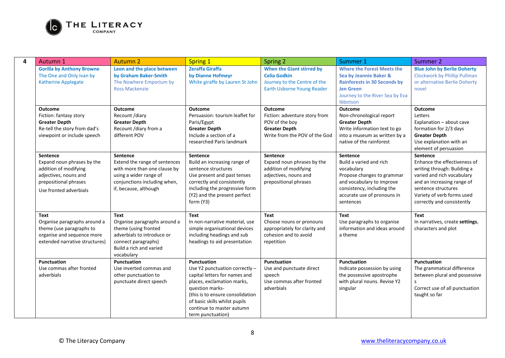

| Autumn 1                                                                                                                                           | <b>Autumn 2</b>                                                                                                                                              | <b>Spring 1</b>                                                                                                                                                                                                                                        | Spring 2                                                                                                                 | Summer 1                                                                                                                                                                                      | Summer 2                                                                                                                                                                                                                      |
|----------------------------------------------------------------------------------------------------------------------------------------------------|--------------------------------------------------------------------------------------------------------------------------------------------------------------|--------------------------------------------------------------------------------------------------------------------------------------------------------------------------------------------------------------------------------------------------------|--------------------------------------------------------------------------------------------------------------------------|-----------------------------------------------------------------------------------------------------------------------------------------------------------------------------------------------|-------------------------------------------------------------------------------------------------------------------------------------------------------------------------------------------------------------------------------|
| <b>Gorilla by Anthony Browne</b><br>The One and Only Ivan by<br><b>Katherine Applegate</b>                                                         | Leon and the place between<br>by Graham Baker-Smith<br>The Nowhere Emporium by<br><b>Ross Mackenzie</b>                                                      | <b>Zeraffa Giraffa</b><br>by Dianne Hofmeyr<br>White giraffe by Lauren St John                                                                                                                                                                         | <b>When the Giant stirred by</b><br><b>Celia Godkin</b><br>Journey to the Centre of the<br>Earth Usborne Young Reader    | <b>Where the Forest Meets the</b><br>Sea by Jeannie Baker &<br><b>Rainforests in 30 Seconds by</b><br><b>Jen Green</b><br>Journey to the River Sea by Eva<br>Ibbotson                         | <b>Blue John by Berlie Doherty</b><br>Clockwork by Phillip Pullman<br>or alternative Berlie Doherty<br>novel                                                                                                                  |
| <b>Outcome</b><br>Fiction: fantasy story<br><b>Greater Depth</b><br>Re-tell the story from dad's<br>viewpoint or include speech                    | <b>Outcome</b><br>Recount /diary<br><b>Greater Depth</b><br>Recount /diary from a<br>different POV                                                           | <b>Outcome</b><br>Persuasion: tourism leaflet for<br>Paris/Egypt<br><b>Greater Depth</b><br>Include a section of a                                                                                                                                     | Outcome<br>Fiction: adventure story from<br>POV of the boy<br><b>Greater Depth</b><br>Write from the POV of the God      | <b>Outcome</b><br>Non-chronological report<br><b>Greater Depth</b><br>Write information text to go<br>into a museum as written by a                                                           | <b>Outcome</b><br>Letters<br>Explanation - about cave<br>formation for 2/3 days<br><b>Greater Depth</b>                                                                                                                       |
|                                                                                                                                                    |                                                                                                                                                              | researched Paris landmark                                                                                                                                                                                                                              |                                                                                                                          | native of the rainforest                                                                                                                                                                      | Use explanation with an<br>element of persuasion                                                                                                                                                                              |
| <b>Sentence</b><br>Expand noun phrases by the<br>addition of modifying<br>adjectives, nouns and<br>prepositional phrases<br>Use fronted adverbials | Sentence<br>Extend the range of sentences<br>with more than one clause by<br>using a wider range of<br>conjunctions including when,<br>if, because, although | <b>Sentence</b><br>Build an increasing range of<br>sentence structures<br>Use present and past tenses<br>correctly and consistently<br>including the progressive form<br>(Y2) and the present perfect<br>form (Y3)                                     | <b>Sentence</b><br>Expand noun phrases by the<br>addition of modifying<br>adjectives, nouns and<br>prepositional phrases | <b>Sentence</b><br>Build a varied and rich<br>vocabulary<br>Propose changes to grammar<br>and vocabulary to improve<br>consistency, including the<br>accurate use of pronouns in<br>sentences | <b>Sentence</b><br>Enhance the effectiveness of<br>writing through: Building a<br>varied and rich vocabulary<br>and an increasing range of<br>sentence structures<br>Variety of verb forms used<br>correctly and consistently |
| Text<br>Organise paragraphs around a<br>theme (use paragraphs to<br>organise and sequence more<br>extended narrative structures)                   | Text<br>Organise paragraphs around a<br>theme (using fronted<br>adverbials to introduce or<br>connect paragraphs)<br>Build a rich and varied<br>vocabulary   | Text<br>In non-narrative material, use<br>simple organisational devices<br>including headings and sub<br>headings to aid presentation                                                                                                                  | <b>Text</b><br>Choose nouns or pronouns<br>appropriately for clarity and<br>cohesion and to avoid<br>repetition          | Text<br>Use paragraphs to organise<br>information and ideas around<br>a theme                                                                                                                 | <b>Text</b><br>In narratives, create settings,<br>characters and plot                                                                                                                                                         |
| Punctuation<br>Use commas after fronted<br>adverbials                                                                                              | Punctuation<br>Use inverted commas and<br>other punctuation to<br>punctuate direct speech                                                                    | Punctuation<br>Use Y2 punctuation correctly -<br>capital letters for names and<br>places, exclamation marks,<br>question marks-<br>(this is to ensure consolidation<br>of basic skills whilst pupils<br>continue to master autumn<br>term punctuation) | Punctuation<br>Use and punctuate direct<br>speech<br>Use commas after fronted<br>adverbials                              | Punctuation<br>Indicate possession by using<br>the possessive apostrophe<br>with plural nouns. Revise Y2<br>singular                                                                          | Punctuation<br>The grammatical difference<br>between plural and possessive<br>$\mathsf{S}$<br>Correct use of all punctuation<br>taught so far                                                                                 |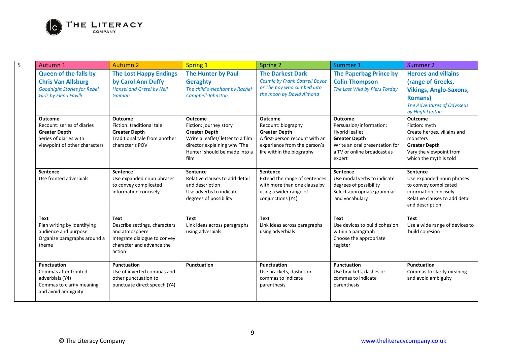

| 5 | Autumn 1                                                                                                                         | <b>Autumn 2</b>                                                                                                                       | <b>Spring 1</b>                                                                                                                                                         | Spring 2                                                                                                                                                    | Summer 1                                                                                                                                                       | Summer 2                                                                                                                                                |
|---|----------------------------------------------------------------------------------------------------------------------------------|---------------------------------------------------------------------------------------------------------------------------------------|-------------------------------------------------------------------------------------------------------------------------------------------------------------------------|-------------------------------------------------------------------------------------------------------------------------------------------------------------|----------------------------------------------------------------------------------------------------------------------------------------------------------------|---------------------------------------------------------------------------------------------------------------------------------------------------------|
|   | <b>Queen of the falls by</b><br><b>Chris Van Allsburg</b><br><b>Goodnight Stories for Rebel</b><br><b>Girls by Elena Favilli</b> | <b>The Lost Happy Endings</b><br>by Carol Ann Duffy<br><b>Hansel and Gretel by Neil</b><br>Gaiman                                     | <b>The Hunter by Paul</b><br>Geraghty<br>The child's elephant by Rachel<br>Campbell-Johnston                                                                            | <b>The Darkest Dark</b><br><b>Cosmic by Frank Cottrell Boyce</b><br>or The boy who climbed into<br>the moon by David Almond                                 | <b>The Paperbag Prince by</b><br><b>Colin Thompson</b><br>The Last Wild by Piers Torday                                                                        | <b>Heroes and villains</b><br>(range of Greeks,<br><b>Vikings, Anglo-Saxons,</b><br><b>Romans</b> )<br>The Adventures of Odysseus<br>by Hugh Lupton     |
|   | <b>Outcome</b><br>Recount: series of diaries<br><b>Greater Depth</b><br>Series of diaries with<br>viewpoint of other characters  | <b>Outcome</b><br>Fiction: traditional tale<br><b>Greater Depth</b><br>Traditional tale from another<br>character's POV               | Outcome<br>Fiction: journey story<br><b>Greater Depth</b><br>Write a leaflet/ letter to a film<br>director explaining why 'The<br>Hunter' should be made into a<br>film | <b>Outcome</b><br>Recount: biography<br><b>Greater Depth</b><br>A first-person recount with an<br>experience from the person's<br>life within the biography | <b>Outcome</b><br>Persuasion/information:<br>Hybrid leaflet<br><b>Greater Depth</b><br>Write an oral presentation for<br>a TV or online broadcast as<br>expert | <b>Outcome</b><br>Fiction: myth<br>Create heroes, villains and<br>monsters<br><b>Greater Depth</b><br>Vary the viewpoint from<br>which the myth is told |
|   | Sentence<br>Use fronted adverbials                                                                                               | Sentence<br>Use expanded noun phrases<br>to convey complicated<br>information concisely                                               | Sentence<br>Relative clauses to add detail<br>and description<br>Use adverbs to indicate<br>degrees of possibility                                                      | Sentence<br>Extend the range of sentences<br>with more than one clause by<br>using a wider range of<br>conjunctions (Y4)                                    | Sentence<br>Use modal verbs to indicate<br>degrees of possibility<br>Select appropriate grammar<br>and vocabulary                                              | Sentence<br>Use expanded noun phrases<br>to convey complicated<br>information concisely<br>Relative clauses to add detail<br>and description            |
|   | <b>Text</b><br>Plan writing by identifying<br>audience and purpose<br>Organise paragraphs around a<br>theme                      | <b>Text</b><br>Describe settings, characters<br>and atmosphere<br>Integrate dialogue to convey<br>character and advance the<br>action | <b>Text</b><br>Link ideas across paragraphs<br>using adverbials                                                                                                         | <b>Text</b><br>Link ideas across paragraphs<br>using adverbials                                                                                             | <b>Text</b><br>Use devices to build cohesion<br>within a paragraph<br>Choose the appropriate<br>register                                                       | <b>Text</b><br>Use a wide range of devices to<br>build cohesion                                                                                         |
|   | Punctuation<br>Commas after fronted<br>adverbials (Y4)<br>Commas to clarify meaning<br>and avoid ambiguity                       | Punctuation<br>Use of inverted commas and<br>other punctuation to<br>punctuate direct speech (Y4)                                     | Punctuation                                                                                                                                                             | Punctuation<br>Use brackets, dashes or<br>commas to indicate<br>parenthesis                                                                                 | Punctuation<br>Use brackets, dashes or<br>commas to indicate<br>parenthesis                                                                                    | Punctuation<br>Commas to clarify meaning<br>and avoid ambiguity                                                                                         |